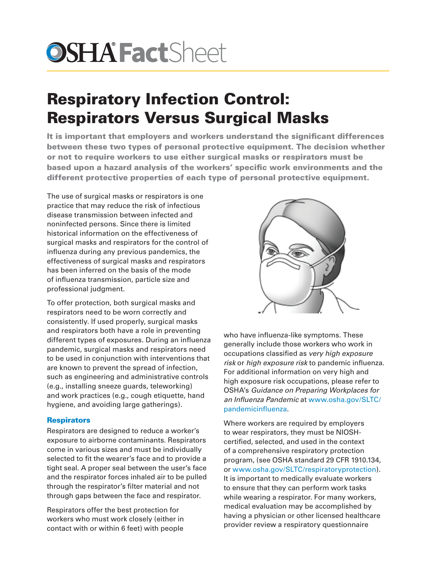# **OSHA Fact**Sheet

# Respiratory Infection Control: Respirators Versus Surgical Masks

It is important that employers and workers understand the significant differences between these two types of personal protective equipment. The decision whether or not to require workers to use either surgical masks or respirators must be based upon a hazard analysis of the workers' specific work environments and the different protective properties of each type of personal protective equipment.

The use of surgical masks or respirators is one practice that may reduce the risk of infectious disease transmission between infected and noninfected persons. Since there is limited historical information on the effectiveness of surgical masks and respirators for the control of influenza during any previous pandemics, the effectiveness of surgical masks and respirators has been inferred on the basis of the mode of influenza transmission, particle size and professional judgment.

To offer protection, both surgical masks and respirators need to be worn correctly and consistently. If used properly, surgical masks and respirators both have a role in preventing different types of exposures. During an influenza pandemic, surgical masks and respirators need to be used in conjunction with interventions that are known to prevent the spread of infection, such as engineering and administrative controls (e.g., installing sneeze guards, teleworking) and work practices (e.g., cough etiquette, hand hygiene, and avoiding large gatherings).

## **Respirators**

Respirators are designed to reduce a worker's exposure to airborne contaminants. Respirators come in various sizes and must be individually selected to fit the wearer's face and to provide a tight seal. A proper seal between the user's face and the respirator forces inhaled air to be pulled through the respirator's filter material and not through gaps between the face and respirator.

Respirators offer the best protection for workers who must work closely (either in contact with or within 6 feet) with people



who have influenza-like symptoms. These generally include those workers who work in occupations classified as *very high exposure risk* or *high exposure risk* to pandemic influenza. For additional information on very high and high exposure risk occupations, please refer to OSHA's *Guidance on Preparing Workplaces for an Influenza Pandemic* at [www.osha.gov/SLTC/](http://www.osha.gov/SLTC/pandemicinfluenza) [pandemicinfluenza.](http://www.osha.gov/SLTC/pandemicinfluenza)

Where workers are required by employers to wear respirators, they must be NIOSHcertified, selected, and used in the context of a comprehensive respiratory protection program, (see OSHA standard 29 CFR 1910.134, or [www.osha.gov/SLTC/respiratoryprotection\)](http://www.osha.gov/SLTC/respiratoryprotection). It is important to medically evaluate workers to ensure that they can perform work tasks while wearing a respirator. For many workers, medical evaluation may be accomplished by having a physician or other licensed healthcare provider review a respiratory questionnaire